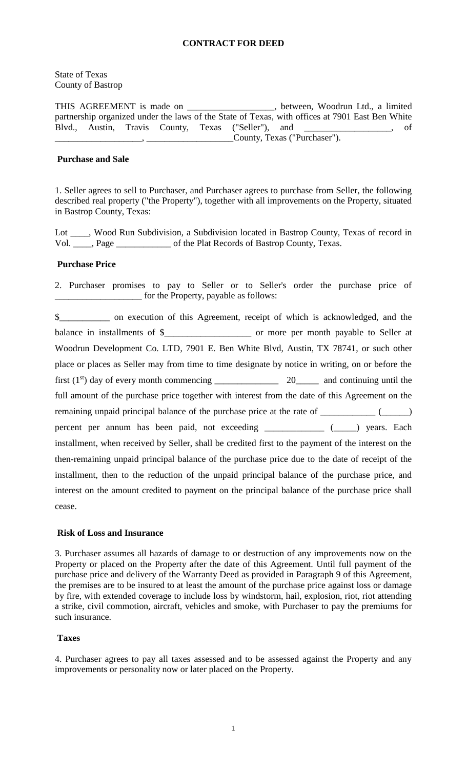# **CONTRACT FOR DEED**

### State of Texas County of Bastrop

THIS AGREEMENT is made on \_\_\_\_\_\_\_\_\_\_\_\_\_\_\_\_\_\_\_, between, Woodrun Ltd., a limited partnership organized under the laws of the State of Texas, with offices at 7901 East Ben White Blvd., Austin, Travis County, Texas ("Seller"), and \_\_\_\_\_\_\_\_\_\_\_\_\_\_\_\_\_\_\_, of  $\frac{1}{2}$ ,  $\frac{1}{2}$ ,  $\frac{1}{2}$ ,  $\frac{1}{2}$ ,  $\frac{1}{2}$ ,  $\frac{1}{2}$ ,  $\frac{1}{2}$ ,  $\frac{1}{2}$ ,  $\frac{1}{2}$ ,  $\frac{1}{2}$ ,  $\frac{1}{2}$ ,  $\frac{1}{2}$ ,  $\frac{1}{2}$ ,  $\frac{1}{2}$ ,  $\frac{1}{2}$ ,  $\frac{1}{2}$ ,  $\frac{1}{2}$ ,  $\frac{1}{2}$ ,  $\frac{1}{2}$ ,  $\frac{1}{2}$ ,

# **Purchase and Sale**

1. Seller agrees to sell to Purchaser, and Purchaser agrees to purchase from Seller, the following described real property ("the Property"), together with all improvements on the Property, situated in Bastrop County, Texas:

Lot \_\_\_\_, Wood Run Subdivision, a Subdivision located in Bastrop County, Texas of record in Vol. \_\_\_\_, Page \_\_\_\_\_\_\_\_\_\_\_\_ of the Plat Records of Bastrop County, Texas.

# **Purchase Price**

2. Purchaser promises to pay to Seller or to Seller's order the purchase price of \_\_\_\_\_\_\_\_\_\_\_\_\_\_\_\_\_\_\_ for the Property, payable as follows:

\$\_\_\_\_\_\_\_\_\_\_\_ on execution of this Agreement, receipt of which is acknowledged, and the balance in installments of \$\_\_\_\_\_\_\_\_\_\_\_\_\_\_\_\_\_\_\_\_\_\_\_ or more per month payable to Seller at Woodrun Development Co. LTD, 7901 E. Ben White Blvd, Austin, TX 78741, or such other place or places as Seller may from time to time designate by notice in writing, on or before the first  $(1<sup>st</sup>)$  day of every month commencing 20 and continuing until the full amount of the purchase price together with interest from the date of this Agreement on the remaining unpaid principal balance of the purchase price at the rate of \_\_\_\_\_\_\_\_\_\_\_ (\_\_\_\_\_) percent per annum has been paid, not exceeding \_\_\_\_\_\_\_\_\_\_\_\_ (\_\_\_\_) years. Each installment, when received by Seller, shall be credited first to the payment of the interest on the then-remaining unpaid principal balance of the purchase price due to the date of receipt of the installment, then to the reduction of the unpaid principal balance of the purchase price, and interest on the amount credited to payment on the principal balance of the purchase price shall cease.

# **Risk of Loss and Insurance**

3. Purchaser assumes all hazards of damage to or destruction of any improvements now on the Property or placed on the Property after the date of this Agreement. Until full payment of the purchase price and delivery of the Warranty Deed as provided in Paragraph 9 of this Agreement, the premises are to be insured to at least the amount of the purchase price against loss or damage by fire, with extended coverage to include loss by windstorm, hail, explosion, riot, riot attending a strike, civil commotion, aircraft, vehicles and smoke, with Purchaser to pay the premiums for such insurance.

# **Taxes**

4. Purchaser agrees to pay all taxes assessed and to be assessed against the Property and any improvements or personality now or later placed on the Property.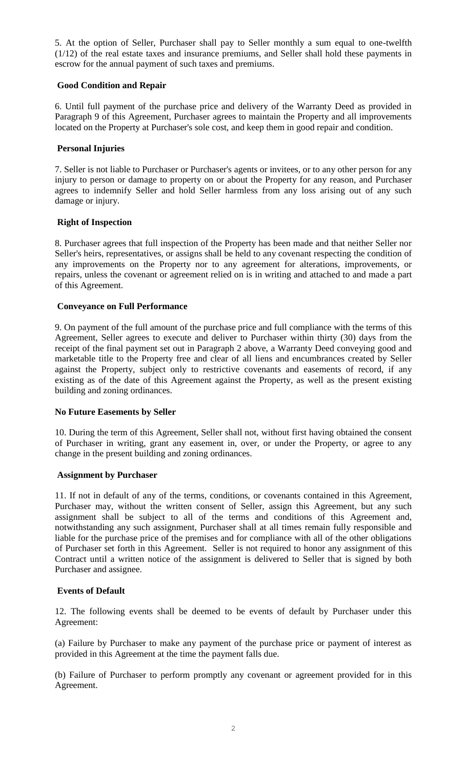5. At the option of Seller, Purchaser shall pay to Seller monthly a sum equal to one-twelfth (1/12) of the real estate taxes and insurance premiums, and Seller shall hold these payments in escrow for the annual payment of such taxes and premiums.

# **Good Condition and Repair**

6. Until full payment of the purchase price and delivery of the Warranty Deed as provided in Paragraph 9 of this Agreement, Purchaser agrees to maintain the Property and all improvements located on the Property at Purchaser's sole cost, and keep them in good repair and condition.

# **Personal Injuries**

7. Seller is not liable to Purchaser or Purchaser's agents or invitees, or to any other person for any injury to person or damage to property on or about the Property for any reason, and Purchaser agrees to indemnify Seller and hold Seller harmless from any loss arising out of any such damage or injury.

# **Right of Inspection**

8. Purchaser agrees that full inspection of the Property has been made and that neither Seller nor Seller's heirs, representatives, or assigns shall be held to any covenant respecting the condition of any improvements on the Property nor to any agreement for alterations, improvements, or repairs, unless the covenant or agreement relied on is in writing and attached to and made a part of this Agreement.

# **Conveyance on Full Performance**

9. On payment of the full amount of the purchase price and full compliance with the terms of this Agreement, Seller agrees to execute and deliver to Purchaser within thirty (30) days from the receipt of the final payment set out in Paragraph 2 above, a Warranty Deed conveying good and marketable title to the Property free and clear of all liens and encumbrances created by Seller against the Property, subject only to restrictive covenants and easements of record, if any existing as of the date of this Agreement against the Property, as well as the present existing building and zoning ordinances.

# **No Future Easements by Seller**

10. During the term of this Agreement, Seller shall not, without first having obtained the consent of Purchaser in writing, grant any easement in, over, or under the Property, or agree to any change in the present building and zoning ordinances.

# **Assignment by Purchaser**

11. If not in default of any of the terms, conditions, or covenants contained in this Agreement, Purchaser may, without the written consent of Seller, assign this Agreement, but any such assignment shall be subject to all of the terms and conditions of this Agreement and, notwithstanding any such assignment, Purchaser shall at all times remain fully responsible and liable for the purchase price of the premises and for compliance with all of the other obligations of Purchaser set forth in this Agreement. Seller is not required to honor any assignment of this Contract until a written notice of the assignment is delivered to Seller that is signed by both Purchaser and assignee.

# **Events of Default**

12. The following events shall be deemed to be events of default by Purchaser under this Agreement:

(a) Failure by Purchaser to make any payment of the purchase price or payment of interest as provided in this Agreement at the time the payment falls due.

(b) Failure of Purchaser to perform promptly any covenant or agreement provided for in this Agreement.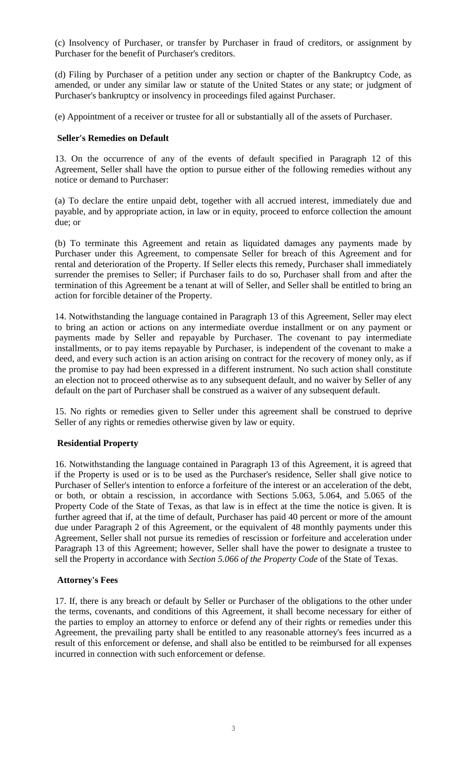(c) Insolvency of Purchaser, or transfer by Purchaser in fraud of creditors, or assignment by Purchaser for the benefit of Purchaser's creditors.

(d) Filing by Purchaser of a petition under any section or chapter of the Bankruptcy Code, as amended, or under any similar law or statute of the United States or any state; or judgment of Purchaser's bankruptcy or insolvency in proceedings filed against Purchaser.

(e) Appointment of a receiver or trustee for all or substantially all of the assets of Purchaser.

# **Seller's Remedies on Default**

13. On the occurrence of any of the events of default specified in Paragraph 12 of this Agreement, Seller shall have the option to pursue either of the following remedies without any notice or demand to Purchaser:

(a) To declare the entire unpaid debt, together with all accrued interest, immediately due and payable, and by appropriate action, in law or in equity, proceed to enforce collection the amount due; or

(b) To terminate this Agreement and retain as liquidated damages any payments made by Purchaser under this Agreement, to compensate Seller for breach of this Agreement and for rental and deterioration of the Property. If Seller elects this remedy, Purchaser shall immediately surrender the premises to Seller; if Purchaser fails to do so, Purchaser shall from and after the termination of this Agreement be a tenant at will of Seller, and Seller shall be entitled to bring an action for forcible detainer of the Property.

14. Notwithstanding the language contained in Paragraph 13 of this Agreement, Seller may elect to bring an action or actions on any intermediate overdue installment or on any payment or payments made by Seller and repayable by Purchaser. The covenant to pay intermediate installments, or to pay items repayable by Purchaser, is independent of the covenant to make a deed, and every such action is an action arising on contract for the recovery of money only, as if the promise to pay had been expressed in a different instrument. No such action shall constitute an election not to proceed otherwise as to any subsequent default, and no waiver by Seller of any default on the part of Purchaser shall be construed as a waiver of any subsequent default.

15. No rights or remedies given to Seller under this agreement shall be construed to deprive Seller of any rights or remedies otherwise given by law or equity.

# **Residential Property**

16. Notwithstanding the language contained in Paragraph 13 of this Agreement, it is agreed that if the Property is used or is to be used as the Purchaser's residence, Seller shall give notice to Purchaser of Seller's intention to enforce a forfeiture of the interest or an acceleration of the debt, or both, or obtain a rescission, in accordance with Sections 5.063, 5.064, and 5.065 of the Property Code of the State of Texas, as that law is in effect at the time the notice is given. It is further agreed that if, at the time of default, Purchaser has paid 40 percent or more of the amount due under Paragraph 2 of this Agreement, or the equivalent of 48 monthly payments under this Agreement, Seller shall not pursue its remedies of rescission or forfeiture and acceleration under Paragraph 13 of this Agreement; however, Seller shall have the power to designate a trustee to sell the Property in accordance with *Section 5.066 of the Property Code* of the State of Texas.

# **Attorney's Fees**

17. If, there is any breach or default by Seller or Purchaser of the obligations to the other under the terms, covenants, and conditions of this Agreement, it shall become necessary for either of the parties to employ an attorney to enforce or defend any of their rights or remedies under this Agreement, the prevailing party shall be entitled to any reasonable attorney's fees incurred as a result of this enforcement or defense, and shall also be entitled to be reimbursed for all expenses incurred in connection with such enforcement or defense.